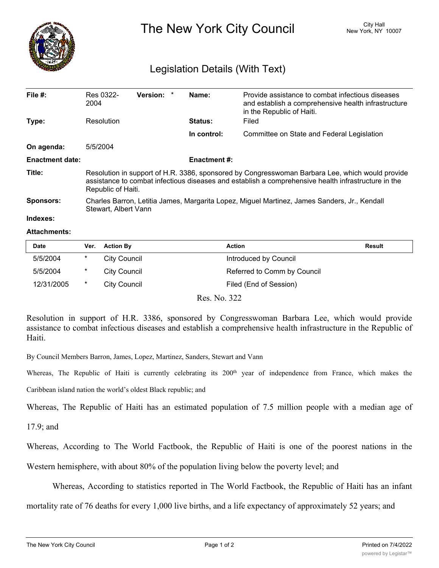

The New York City Council New York, NY 10007

## Legislation Details (With Text)

| File $#$ :             | Res 0322-<br>2004                                                                                                                                                                                                            | <b>Version:</b> |  | Name:       | Provide assistance to combat infectious diseases<br>and establish a comprehensive health infrastructure<br>in the Republic of Haiti. |  |  |
|------------------------|------------------------------------------------------------------------------------------------------------------------------------------------------------------------------------------------------------------------------|-----------------|--|-------------|--------------------------------------------------------------------------------------------------------------------------------------|--|--|
| Type:                  | Resolution                                                                                                                                                                                                                   |                 |  | Status:     | Filed                                                                                                                                |  |  |
|                        |                                                                                                                                                                                                                              |                 |  | In control: | Committee on State and Federal Legislation                                                                                           |  |  |
| On agenda:             | 5/5/2004                                                                                                                                                                                                                     |                 |  |             |                                                                                                                                      |  |  |
| <b>Enactment date:</b> | <b>Enactment #:</b>                                                                                                                                                                                                          |                 |  |             |                                                                                                                                      |  |  |
| Title:                 | Resolution in support of H.R. 3386, sponsored by Congresswoman Barbara Lee, which would provide<br>assistance to combat infectious diseases and establish a comprehensive health infrastructure in the<br>Republic of Haiti. |                 |  |             |                                                                                                                                      |  |  |
| <b>Sponsors:</b>       | Charles Barron, Letitia James, Margarita Lopez, Miguel Martinez, James Sanders, Jr., Kendall<br>Stewart, Albert Vann                                                                                                         |                 |  |             |                                                                                                                                      |  |  |
| Indexes:               |                                                                                                                                                                                                                              |                 |  |             |                                                                                                                                      |  |  |

## **Attachments:**

| <b>Date</b> | Ver.    | <b>Action By</b>    | Action                      | <b>Result</b> |
|-------------|---------|---------------------|-----------------------------|---------------|
| 5/5/2004    | *       | City Council        | Introduced by Council       |               |
| 5/5/2004    | $\ast$  | City Council        | Referred to Comm by Council |               |
| 12/31/2005  | $\star$ | <b>City Council</b> | Filed (End of Session)      |               |

Res. No. 322

Resolution in support of H.R. 3386, sponsored by Congresswoman Barbara Lee, which would provide assistance to combat infectious diseases and establish a comprehensive health infrastructure in the Republic of Haiti.

By Council Members Barron, James, Lopez, Martinez, Sanders, Stewart and Vann

Whereas, The Republic of Haiti is currently celebrating its  $200<sup>th</sup>$  year of independence from France, which makes the

Caribbean island nation the world's oldest Black republic; and

Whereas, The Republic of Haiti has an estimated population of 7.5 million people with a median age of

17.9; and

Whereas, According to The World Factbook, the Republic of Haiti is one of the poorest nations in the

Western hemisphere, with about 80% of the population living below the poverty level; and

Whereas, According to statistics reported in The World Factbook, the Republic of Haiti has an infant

mortality rate of 76 deaths for every 1,000 live births, and a life expectancy of approximately 52 years; and